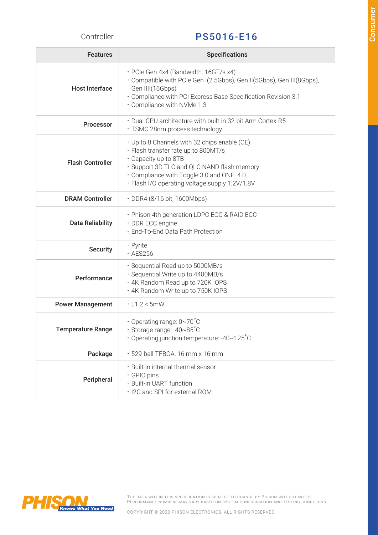## Controller PS5016-E16

| <b>Features</b>          | <b>Specifications</b>                                                                                                                                                                                                                                  |  |  |  |
|--------------------------|--------------------------------------------------------------------------------------------------------------------------------------------------------------------------------------------------------------------------------------------------------|--|--|--|
| <b>Host Interface</b>    | · PCIe Gen 4x4 (Bandwidth: 16GT/s x4)<br>· Compatible with PCIe Gen I(2.5Gbps), Gen II(5Gbps), Gen III(8Gbps),<br>Gen IIII(16Gbps)<br>· Compliance with PCI Express Base Specification Revision 3.1<br>· Compliance with NVMe 1.3                      |  |  |  |
| <b>Processor</b>         | · Dual-CPU architecture with built-in 32-bit Arm Cortex-R5<br>· TSMC 28nm process technology                                                                                                                                                           |  |  |  |
| <b>Flash Controller</b>  | · Up to 8 Channels with 32 chips enable (CE)<br>· Flash transfer rate up to 800MT/s<br>· Capacity up to 8TB<br>· Support 3D TLC and QLC NAND flash memory<br>Compliance with Toggle 3.0 and ONFi 4.0<br>· Flash I/O operating voltage supply 1.2V/1.8V |  |  |  |
| <b>DRAM Controller</b>   | · DDR4 (8/16 bit, 1600Mbps)                                                                                                                                                                                                                            |  |  |  |
| <b>Data Reliability</b>  | . Phison 4th generation LDPC ECC & RAID ECC<br>· DDR ECC engine<br>· End-To-End Data Path Protection                                                                                                                                                   |  |  |  |
| <b>Security</b>          | • Pyrite<br>$\cdot$ AES256                                                                                                                                                                                                                             |  |  |  |
| Performance              | · Sequential Read up to 5000MB/s<br>· Sequential Write up to 4400MB/s<br>· 4K Random Read up to 720K IOPS<br>. 4K Random Write up to 750K IOPS                                                                                                         |  |  |  |
| <b>Power Management</b>  | $\cdot$ L1.2 < 5mW                                                                                                                                                                                                                                     |  |  |  |
| <b>Temperature Range</b> | $\cdot$ Operating range: 0~70°C<br>$\cdot$ Storage range: -40~85°C<br>• Operating junction temperature: -40~125 $^{\circ}$ C                                                                                                                           |  |  |  |
| Package                  | · 529-ball TFBGA, 16 mm x 16 mm                                                                                                                                                                                                                        |  |  |  |
| Peripheral               | · Built-in internal thermal sensor<br>· GPIO pins<br>· Built-in UART function<br>· I2C and SPI for external ROM                                                                                                                                        |  |  |  |



THE DATA WITHIN THIS SPECIFICATION IS SUBJECT TO CHANGE BY PHISON WITHOUT NOTICE. PERFORMANCE NUMBERS MAY VARY BASED ON SYSTEM CONFIGURATION AND TESTING CONDITIONS.